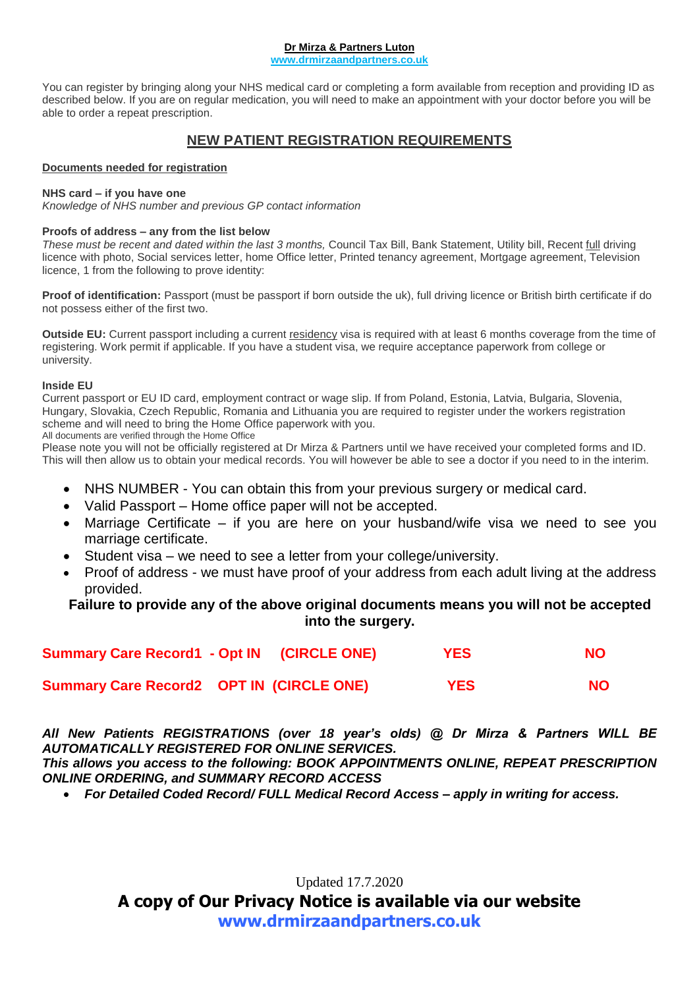#### **Dr Mirza & Partners Luton**

**www.drmirzaandpartners.co.uk**

You can register by bringing along your NHS medical card or completing a form available from reception and providing ID as described below. If you are on regular medication, you will need to make an appointment with your doctor before you will be able to order a repeat prescription.

## **NEW PATIENT REGISTRATION REQUIREMENTS**

#### **Documents needed for registration**

#### **NHS card – if you have one**

*Knowledge of NHS number and previous GP contact information*

#### **Proofs of address – any from the list below**

*These must be recent and dated within the last 3 months,* Council Tax Bill, Bank Statement, Utility bill, Recent full driving licence with photo, Social services letter, home Office letter, Printed tenancy agreement, Mortgage agreement, Television licence, 1 from the following to prove identity:

Proof of identification: Passport (must be passport if born outside the uk), full driving licence or British birth certificate if do not possess either of the first two.

**Outside EU:** Current passport including a current residency visa is required with at least 6 months coverage from the time of registering. Work permit if applicable. If you have a student visa, we require acceptance paperwork from college or university.

#### **Inside EU**

Current passport or EU ID card, employment contract or wage slip. If from Poland, Estonia, Latvia, Bulgaria, Slovenia, Hungary, Slovakia, Czech Republic, Romania and Lithuania you are required to register under the workers registration scheme and will need to bring the Home Office paperwork with you.

All documents are verified through the Home Office

Please note you will not be officially registered at Dr Mirza & Partners until we have received your completed forms and ID. This will then allow us to obtain your medical records. You will however be able to see a doctor if you need to in the interim.

- NHS NUMBER You can obtain this from your previous surgery or medical card.
- Valid Passport Home office paper will not be accepted.
- Marriage Certificate if you are here on your husband/wife visa we need to see you marriage certificate.
- Student visa we need to see a letter from your college/university.
- Proof of address we must have proof of your address from each adult living at the address provided.

#### **Failure to provide any of the above original documents means you will not be accepted into the surgery.**

| Summary Care Record1 - Opt IN (CIRCLE ONE)      |  | <b>YES</b> | <b>NO</b> |
|-------------------------------------------------|--|------------|-----------|
| <b>Summary Care Record2 OPT IN (CIRCLE ONE)</b> |  | <b>YES</b> | NO.       |

*All New Patients REGISTRATIONS (over 18 year's olds) @ Dr Mirza & Partners WILL BE AUTOMATICALLY REGISTERED FOR ONLINE SERVICES.*

*This allows you access to the following: BOOK APPOINTMENTS ONLINE, REPEAT PRESCRIPTION ONLINE ORDERING, and SUMMARY RECORD ACCESS*

*For Detailed Coded Record/ FULL Medical Record Access – apply in writing for access.*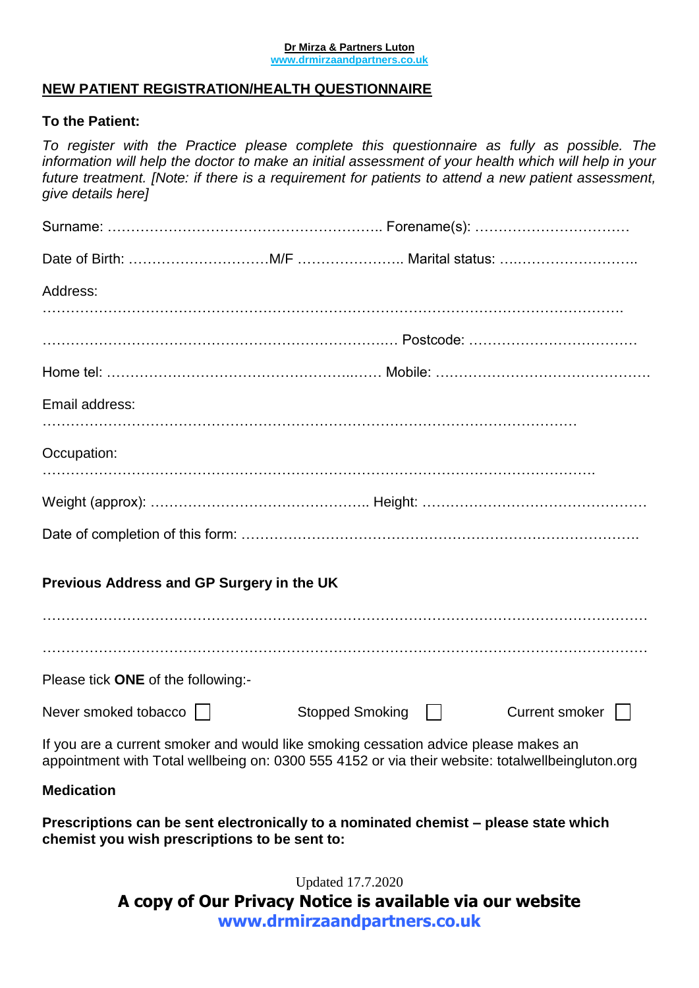#### **Dr Mirza & Partners Luton www.drmirzaandpartners.co.uk**

## **NEW PATIENT REGISTRATION/HEALTH QUESTIONNAIRE**

### **To the Patient:**

*To register with the Practice please complete this questionnaire as fully as possible. The information will help the doctor to make an initial assessment of your health which will help in your future treatment. [Note: if there is a requirement for patients to attend a new patient assessment, give details here]*

| Address:                                      |                                                                                                                                                                                         |
|-----------------------------------------------|-----------------------------------------------------------------------------------------------------------------------------------------------------------------------------------------|
|                                               |                                                                                                                                                                                         |
|                                               |                                                                                                                                                                                         |
| Email address:                                |                                                                                                                                                                                         |
| Occupation:                                   |                                                                                                                                                                                         |
|                                               |                                                                                                                                                                                         |
|                                               |                                                                                                                                                                                         |
| Previous Address and GP Surgery in the UK     |                                                                                                                                                                                         |
|                                               |                                                                                                                                                                                         |
| Please tick ONE of the following:-            |                                                                                                                                                                                         |
| Never smoked tobacco                          | Stopped Smoking    <br>Current smoker                                                                                                                                                   |
|                                               | If you are a current smoker and would like smoking cessation advice please makes an<br>appointment with Total wellbeing on: 0300 555 4152 or via their website: totalwellbeingluton.org |
| <b>Medication</b>                             |                                                                                                                                                                                         |
| chemist you wish prescriptions to be sent to: | Prescriptions can be sent electronically to a nominated chemist – please state which                                                                                                    |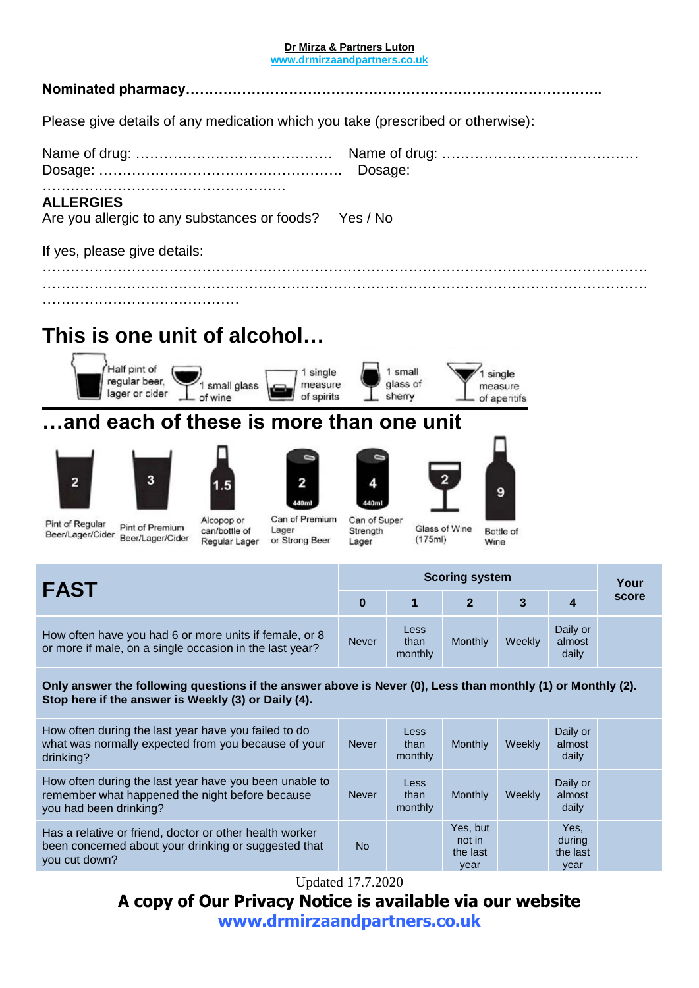#### **Dr Mirza & Partners Luton**

**www.drmirzaandpartners.co.uk**

## **Nominated pharmacy……………………………………………………………………………..**

Please give details of any medication which you take (prescribed or otherwise):

…………………………………………………………………………………………………………………

## **ALLERGIES**

Are you allergic to any substances or foods? Yes / No

If yes, please give details:

………………………………………………………………………………………………………………… ……………………………………

# **This is one unit of alcohol…**



## **…and each of these is more than one unit**















Pint of Regular Pint of Premium Beer/Lager/Cider Beer/Lager/Cider

Alcopop or can/bottle of Regular Lager

Can of Premium Lager or Strong Beer

Can of Super Glass of Wine  $(175ml)$ 

Bottle of Wine

| <b>FAST</b>                                                                                                       |              | <b>Scoring system</b>   |         |        |                             |       |  |
|-------------------------------------------------------------------------------------------------------------------|--------------|-------------------------|---------|--------|-----------------------------|-------|--|
|                                                                                                                   |              |                         |         |        | $\boldsymbol{4}$            | score |  |
| How often have you had 6 or more units if female, or 8<br>or more if male, on a single occasion in the last year? | <b>Never</b> | Less<br>than<br>monthly | Monthly | Weekly | Daily or<br>almost<br>daily |       |  |

Strength

Lager

**Only answer the following questions if the answer above is Never (0), Less than monthly (1) or Monthly (2). Stop here if the answer is Weekly (3) or Daily (4).**

| How often during the last year have you failed to do<br>what was normally expected from you because of your<br>drinking?            | <b>Never</b> | <b>Less</b><br>than<br>monthly | Monthly                                | Weekly | Daily or<br>almost<br>daily        |  |
|-------------------------------------------------------------------------------------------------------------------------------------|--------------|--------------------------------|----------------------------------------|--------|------------------------------------|--|
| How often during the last year have you been unable to<br>remember what happened the night before because<br>you had been drinking? | <b>Never</b> | <b>Less</b><br>than<br>monthly | Monthly                                | Weekly | Daily or<br>almost<br>daily        |  |
| Has a relative or friend, doctor or other health worker<br>been concerned about your drinking or suggested that<br>you cut down?    | <b>No</b>    |                                | Yes, but<br>not in<br>the last<br>year |        | Yes,<br>during<br>the last<br>year |  |

Updated 17.7.2020

## **A copy of Our Privacy Notice is available via our website**

**[www.drmirzaandpartners.co.uk](http://www.drmirzaandpartners.co.uk/)**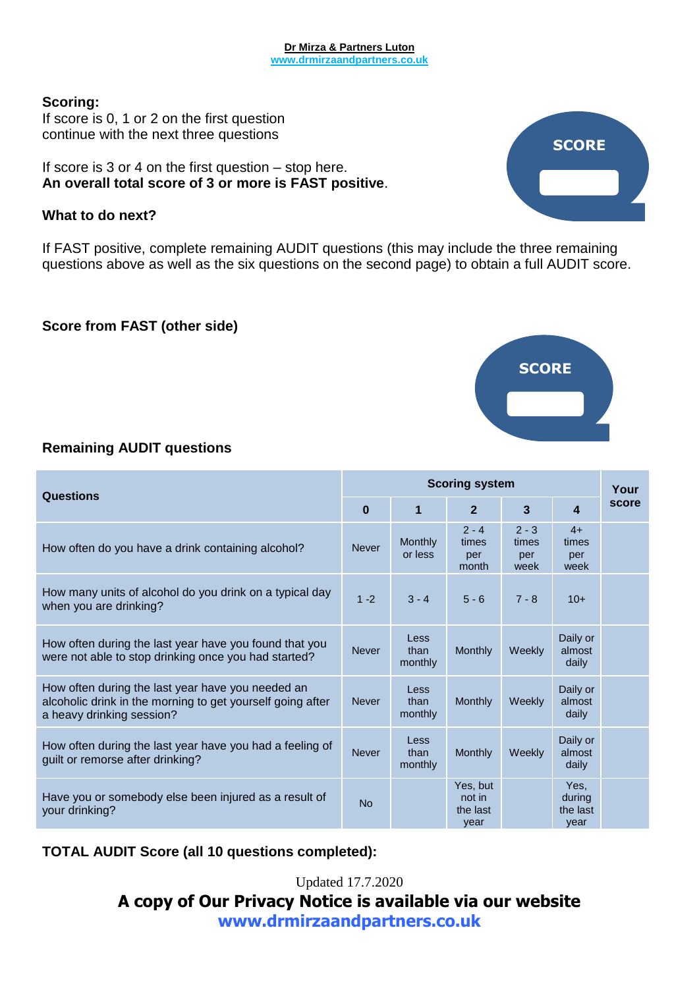#### **Dr Mirza & Partners Luton www.drmirzaandpartners.co.uk**

#### **Scoring:**

If score is 0, 1 or 2 on the first question continue with the next three questions

If score is 3 or 4 on the first question – stop here. **An overall total score of 3 or more is FAST positive**.

### **What to do next?**

If FAST positive, complete remaining AUDIT questions (this may include the three remaining questions above as well as the six questions on the second page) to obtain a full AUDIT score.

## **Score from FAST (other side)**

## **Remaining AUDIT questions**

| <b>Questions</b>                                                                                                                             |              | <b>Scoring system</b>          |                                        |                                 |                                    |       |
|----------------------------------------------------------------------------------------------------------------------------------------------|--------------|--------------------------------|----------------------------------------|---------------------------------|------------------------------------|-------|
|                                                                                                                                              |              | 1                              | $\overline{2}$                         | 3                               | 4                                  | score |
| How often do you have a drink containing alcohol?                                                                                            | <b>Never</b> | Monthly<br>or less             | $2 - 4$<br>times<br>per<br>month       | $2 - 3$<br>times<br>per<br>week | $4+$<br>times<br>per<br>week       |       |
| How many units of alcohol do you drink on a typical day<br>when you are drinking?                                                            | $1 - 2$      | $3 - 4$                        | $5 - 6$                                | $7 - 8$                         | $10+$                              |       |
| How often during the last year have you found that you<br>were not able to stop drinking once you had started?                               | <b>Never</b> | Less<br>than<br>monthly        | Monthly                                | Weekly                          | Daily or<br>almost<br>daily        |       |
| How often during the last year have you needed an<br>alcoholic drink in the morning to get yourself going after<br>a heavy drinking session? | <b>Never</b> | Less<br>than<br>monthly        | Monthly                                | Weekly                          | Daily or<br>almost<br>daily        |       |
| How often during the last year have you had a feeling of<br>guilt or remorse after drinking?                                                 | <b>Never</b> | <b>Less</b><br>than<br>monthly | Monthly                                | Weekly                          | Daily or<br>almost<br>daily        |       |
| Have you or somebody else been injured as a result of<br>your drinking?                                                                      | <b>No</b>    |                                | Yes, but<br>not in<br>the last<br>vear |                                 | Yes.<br>during<br>the last<br>year |       |

## **TOTAL AUDIT Score (all 10 questions completed):**





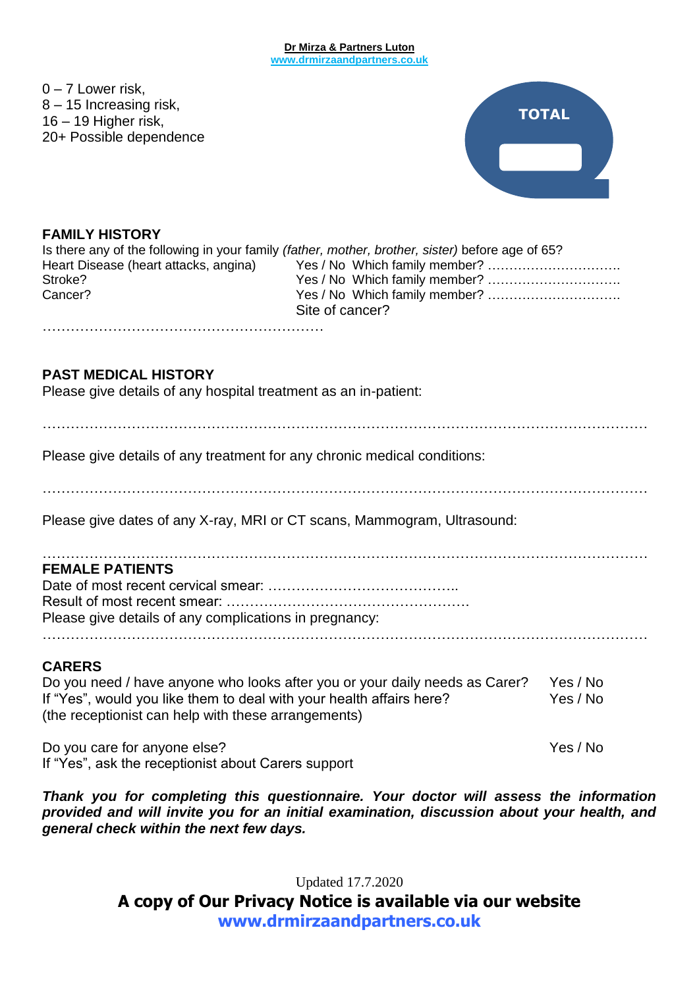#### **Dr Mirza & Partners Luton www.drmirzaandpartners.co.uk**

 $0 - 7$  Lower risk. 8 – 15 Increasing risk, 16 – 19 Higher risk, 20+ Possible dependence



## **FAMILY HISTORY**

|                                       | Is there any of the following in your family (father, mother, brother, sister) before age of 65? |
|---------------------------------------|--------------------------------------------------------------------------------------------------|
| Heart Disease (heart attacks, angina) |                                                                                                  |
| Stroke?                               |                                                                                                  |
| Cancer?                               |                                                                                                  |
|                                       | Site of cancer?                                                                                  |

**PAST MEDICAL HISTORY**

Please give details of any hospital treatment as an in-patient:

……………………………………………………

…………………………………………………………………………………………………………………

Please give details of any treatment for any chronic medical conditions:

…………………………………………………………………………………………………………………

Please give dates of any X-ray, MRI or CT scans, Mammogram, Ultrasound:

## $\mathcal{L}^{\text{max}}_{\text{max}}$ **FEMALE PATIENTS** Date of most recent cervical smear: …………………………………..

Result of most recent smear: ……………………………………………. Please give details of any complications in pregnancy:

…………………………………………………………………………………………………………………

### **CARERS**

Do you need / have anyone who looks after you or your daily needs as Carer? Yes / No If "Yes", would you like them to deal with your health affairs here? Yes / No (the receptionist can help with these arrangements)

Do you care for anyone else? The set of the set of the set of the Yes / No If "Yes", ask the receptionist about Carers support

*Thank you for completing this questionnaire. Your doctor will assess the information provided and will invite you for an initial examination, discussion about your health, and general check within the next few days.*